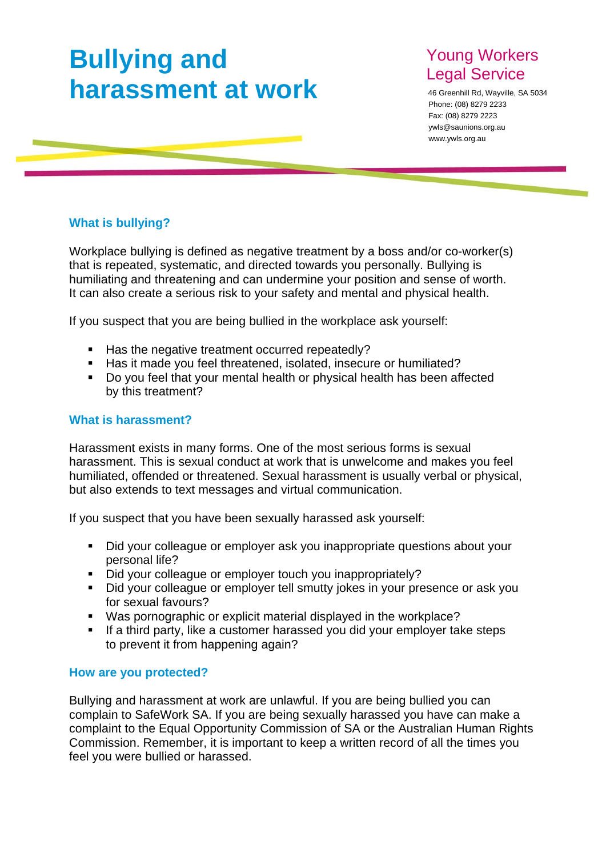# **Bullying and harassment at work**

## Young Workers Legal Service

46 Greenhill Rd, Wayville, SA 5034 Phone: (08) 8279 2233 Fax: (08) 8279 2223 ywls@saunions.org.au www.ywls.org.au

### **What is bullying?**

Workplace bullying is defined as negative treatment by a boss and/or co-worker(s) that is repeated, systematic, and directed towards you personally. Bullying is humiliating and threatening and can undermine your position and sense of worth. It can also create a serious risk to your safety and mental and physical health.

If you suspect that you are being bullied in the workplace ask yourself:

- Has the negative treatment occurred repeatedly?
- Has it made you feel threatened, isolated, insecure or humiliated?
- Do you feel that your mental health or physical health has been affected by this treatment?

#### **What is harassment?**

Harassment exists in many forms. One of the most serious forms is sexual harassment. This is sexual conduct at work that is unwelcome and makes you feel humiliated, offended or threatened. Sexual harassment is usually verbal or physical, but also extends to text messages and virtual communication.

If you suspect that you have been sexually harassed ask yourself:

- Did your colleague or employer ask you inappropriate questions about your personal life?
- Did your colleague or employer touch you inappropriately?
- Did your colleague or employer tell smutty jokes in your presence or ask you for sexual favours?
- Was pornographic or explicit material displayed in the workplace?
- **If a third party, like a customer harassed you did your employer take steps** to prevent it from happening again?

#### **How are you protected?**

Bullying and harassment at work are unlawful. If you are being bullied you can complain to SafeWork SA. If you are being sexually harassed you have can make a complaint to the Equal Opportunity Commission of SA or the Australian Human Rights Commission. Remember, it is important to keep a written record of all the times you feel you were bullied or harassed.